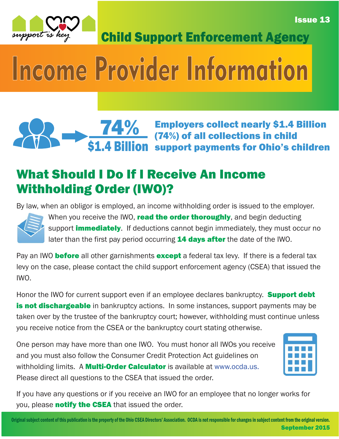Issue 13



Child Support Enforcement Agency

# Income Provider Information

#### 74% \$1.4 Billion Employers collect nearly \$1.4 Billion (74%) of all collections in child support payments for Ohio's children

### What Should I Do If I Receive An Income Withholding Order (IWO)?

By law, when an obligor is employed, an income withholding order is issued to the employer.



When you receive the IWO, read the order thoroughly, and begin deducting support *immediately*. If deductions cannot begin immediately, they must occur no later than the first pay period occurring **14 days after** the date of the IWO.

Pay an IWO **before** all other garnishments **except** a federal tax levy. If there is a federal tax levy on the case, please contact the child support enforcement agency (CSEA) that issued the IWO.

Honor the IWO for current support even if an employee declares bankruptcy. **Support debt** is not dischargeable in bankruptcy actions. In some instances, support payments may be taken over by the trustee of the bankruptcy court; however, withholding must continue unless you receive notice from the CSEA or the bankruptcy court stating otherwise.

One person may have more than one IWO. You must honor all IWOs you receive and you must also follow the Consumer Credit Protection Act guidelines on withholding limits. A **Multi-Order Calculator** is available at www.ocda.us. Please direct all questions to the CSEA that issued the order.



If you have any questions or if you receive an IWO for an employee that no longer works for you, please **notify the CSEA** that issued the order.